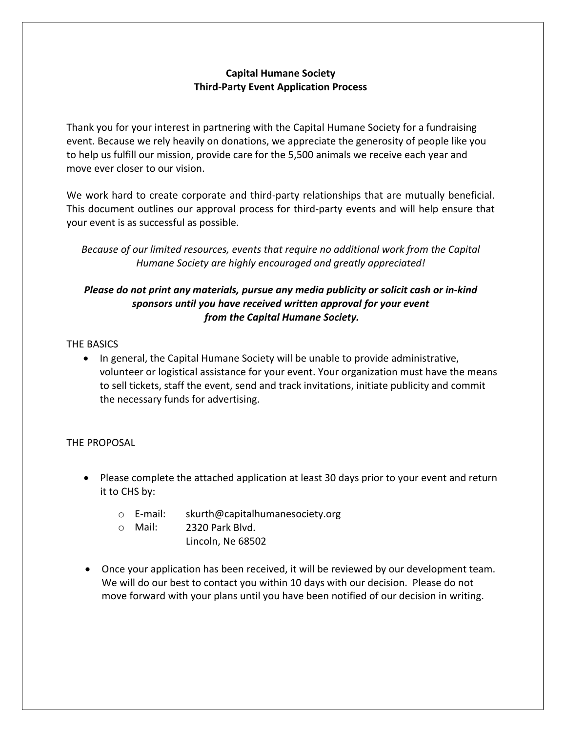## **Capital Humane Society Third-Party Event Application Process**

Thank you for your interest in partnering with the Capital Humane Society for a fundraising event. Because we rely heavily on donations, we appreciate the generosity of people like you to help us fulfill our mission, provide care for the 5,500 animals we receive each year and move ever closer to our vision.

We work hard to create corporate and third-party relationships that are mutually beneficial. This document outlines our approval process for third-party events and will help ensure that your event is as successful as possible.

*Because of our limited resources, events that require no additional work from the Capital Humane Society are highly encouraged and greatly appreciated!* 

# *Please do not print any materials, pursue any media publicity or solicit cash or in-kind sponsors until you have received written approval for your event from the Capital Humane Society.*

### THE BASICS

• In general, the Capital Humane Society will be unable to provide administrative, volunteer or logistical assistance for your event. Your organization must have the means to sell tickets, staff the event, send and track invitations, initiate publicity and commit the necessary funds for advertising.

### THE PROPOSAL

- Please complete the attached application at least 30 days prior to your event and return it to CHS by:
	- o E-mail: skurth@capitalhumanesociety.org
	- o Mail: 2320 Park Blvd.
		- Lincoln, Ne 68502
- Once your application has been received, it will be reviewed by our development team. We will do our best to contact you within 10 days with our decision. Please do not move forward with your plans until you have been notified of our decision in writing.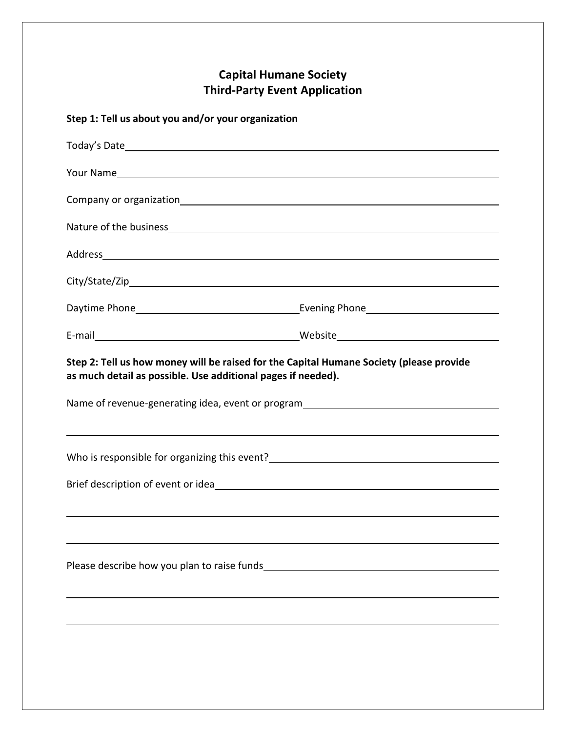# **Capital Humane Society Third-Party Event Application**

# **Step 1: Tell us about you and/or your organization**

| Address and the contract of the contract of the contract of the contract of the contract of the contract of the contract of the contract of the contract of the contract of the contract of the contract of the contract of th |  |  |
|--------------------------------------------------------------------------------------------------------------------------------------------------------------------------------------------------------------------------------|--|--|
|                                                                                                                                                                                                                                |  |  |
|                                                                                                                                                                                                                                |  |  |
|                                                                                                                                                                                                                                |  |  |
| Step 2: Tell us how money will be raised for the Capital Humane Society (please provide<br>as much detail as possible. Use additional pages if needed).                                                                        |  |  |
| Name of revenue-generating idea, event or program_______________________________                                                                                                                                               |  |  |
| ,我们也不会有什么。""我们的人,我们也不会有什么?""我们的人,我们也不会有什么?""我们的人,我们也不会有什么?""我们的人,我们也不会有什么?""我们的人                                                                                                                                               |  |  |
|                                                                                                                                                                                                                                |  |  |
|                                                                                                                                                                                                                                |  |  |
|                                                                                                                                                                                                                                |  |  |
|                                                                                                                                                                                                                                |  |  |
|                                                                                                                                                                                                                                |  |  |
|                                                                                                                                                                                                                                |  |  |
|                                                                                                                                                                                                                                |  |  |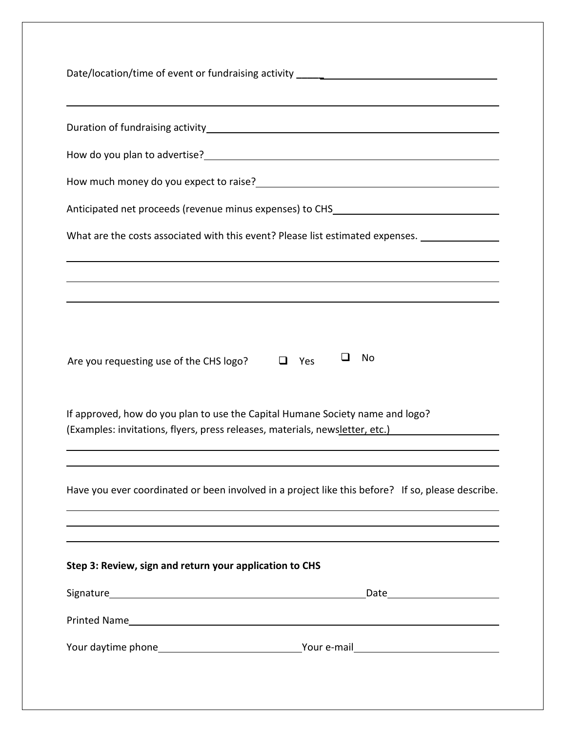| How do you plan to advertise?<br><u> Letter and the contract of the contract of the set of the set of the set of the set of the set of the set of the set of the set of the set of the set of the set of the set of the set of the</u><br>ப<br>No<br>Are you requesting use of the CHS logo?<br>Yes<br>ப<br>If approved, how do you plan to use the Capital Humane Society name and logo?<br>Step 3: Review, sign and return your application to CHS | Date/location/time of event or fundraising activity ____________________________                    |
|------------------------------------------------------------------------------------------------------------------------------------------------------------------------------------------------------------------------------------------------------------------------------------------------------------------------------------------------------------------------------------------------------------------------------------------------------|-----------------------------------------------------------------------------------------------------|
|                                                                                                                                                                                                                                                                                                                                                                                                                                                      |                                                                                                     |
|                                                                                                                                                                                                                                                                                                                                                                                                                                                      |                                                                                                     |
|                                                                                                                                                                                                                                                                                                                                                                                                                                                      |                                                                                                     |
|                                                                                                                                                                                                                                                                                                                                                                                                                                                      | Anticipated net proceeds (revenue minus expenses) to CHS_________________________                   |
|                                                                                                                                                                                                                                                                                                                                                                                                                                                      | What are the costs associated with this event? Please list estimated expenses. ____________________ |
|                                                                                                                                                                                                                                                                                                                                                                                                                                                      |                                                                                                     |
|                                                                                                                                                                                                                                                                                                                                                                                                                                                      |                                                                                                     |
|                                                                                                                                                                                                                                                                                                                                                                                                                                                      | (Examples: invitations, flyers, press releases, materials, newsletter, etc.)                        |
|                                                                                                                                                                                                                                                                                                                                                                                                                                                      | Have you ever coordinated or been involved in a project like this before? If so, please describe.   |
|                                                                                                                                                                                                                                                                                                                                                                                                                                                      |                                                                                                     |
|                                                                                                                                                                                                                                                                                                                                                                                                                                                      |                                                                                                     |
|                                                                                                                                                                                                                                                                                                                                                                                                                                                      |                                                                                                     |
|                                                                                                                                                                                                                                                                                                                                                                                                                                                      |                                                                                                     |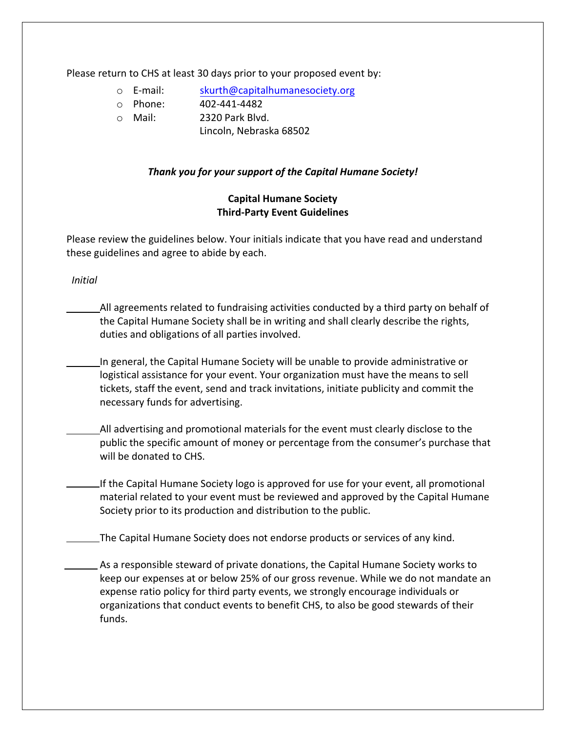Please return to CHS at least 30 days prior to your proposed event by:

- o E-mail: [skurth@capitalhumanes](mailto:horand@kshumane.org)ociety.org
- o Phone: 402-441-4482
- o Mail: 2320 Park Blvd.
	- Lincoln, Nebraska 68502

### *Thank you for your support of the Capital Humane Society!*

### **Capital Humane Society Third-Party Event Guidelines**

Please review the guidelines below. Your initials indicate that you have read and understand these guidelines and agree to abide by each.

 *Initial* 

- All agreements related to fundraising activities conducted by a third party on behalf of the Capital Humane Society shall be in writing and shall clearly describe the rights, duties and obligations of all parties involved.
- In general, the Capital Humane Society will be unable to provide administrative or logistical assistance for your event. Your organization must have the means to sell tickets, staff the event, send and track invitations, initiate publicity and commit the necessary funds for advertising.
- All advertising and promotional materials for the event must clearly disclose to the public the specific amount of money or percentage from the consumer's purchase that will be donated to CHS.
- If the Capital Humane Society logo is approved for use for your event, all promotional material related to your event must be reviewed and approved by the Capital Humane Society prior to its production and distribution to the public.

The Capital Humane Society does not endorse products or services of any kind.

As a responsible steward of private donations, the Capital Humane Society works to keep our expenses at or below 25% of our gross revenue. While we do not mandate an expense ratio policy for third party events, we strongly encourage individuals or organizations that conduct events to benefit CHS, to also be good stewards of their funds.